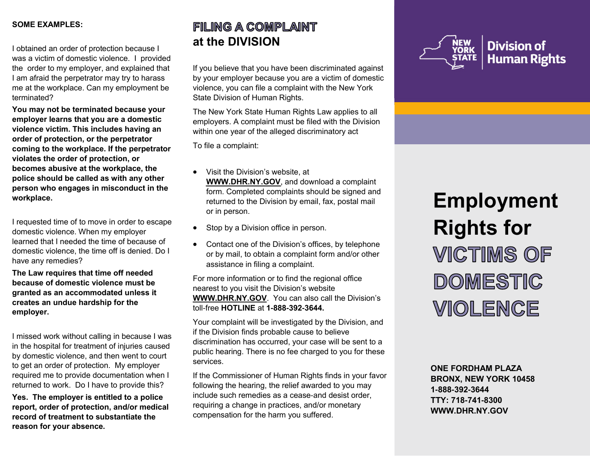#### **SOME EXAMPLES:**

I obtained an order of protection because I was a victim of domestic violence. I provided the order to my employer, and explained that I am afraid the perpetrator may try to harass me at the workplace. Can my employment be terminated?

**You may not be terminated because your employer learns that you are a domestic violence victim. This includes having an order of protection, or the perpetrator coming to the workplace. If the perpetrator violates the order of protection, or becomes abusive at the workplace, the police should be called as with any other person who engages in misconduct in the workplace.**

I requested time of to move in order to escape domestic violence. When my employer learned that I needed the time of because of domestic violence, the time off is denied. Do I have any remedies?

**The Law requires that time off needed because of domestic violence must be granted as an accommodated unless it creates an undue hardship for the employer.**

I missed work without calling in because I was in the hospital for treatment of injuries caused by domestic violence, and then went to court to get an order of protection. My employer required me to provide documentation when I returned to work. Do I have to provide this?

**Yes. The employer is entitled to a police report, order of protection, and/or medical record of treatment to substantiate the reason for your absence.**

# FILING A COMPLAINT **at the DIVISION**

If you believe that you have been discriminated against by your employer because you are a victim of domestic violence, you can file a complaint with the New York State Division of Human Rights.

The New York State Human Rights Law applies to all employers. A complaint must be filed with the Division within one year of the alleged discriminatory act

To file a complaint:

- Visit the Division's website, at **WWW.DHR.NY.GOV**, and download a complaint form. Completed complaints should be signed and returned to the Division by email, fax, postal mail or in person.
- Stop by a Division office in person.
- Contact one of the Division's offices, by telephone or by mail, to obtain a complaint form and/or other assistance in filing a complaint.

For more information or to find the regional office nearest to you visit the Division's website **[WWW.DHR.NY.GOV](http://WWW.DHR.NY.GOV)**. You can also call the Division's toll-free **HOTLINE** at **1-888-392-3644.**

Your complaint will be investigated by the Division, and if the Division finds probable cause to believe discrimination has occurred, your case will be sent to a public hearing. There is no fee charged to you for these services.

If the Commissioner of Human Rights finds in your favor following the hearing, the relief awarded to you may include such remedies as a cease-and desist order, requiring a change in practices, and/or monetary compensation for the harm you suffered.



# **Employment Rights for**  VICTIMS OF **DOMESTIC VIOLENCE**

**ONE FORDHAM PLAZA BRONX, NEW YORK 10458 1-888-392-3644 TTY: 718-741-8300 WWW.DHR.NY.GOV**